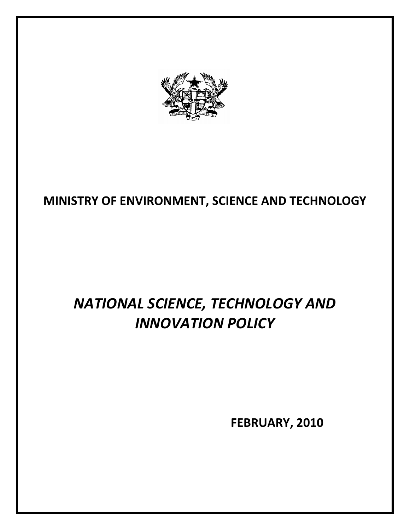

# **MINISTRY OF ENVIRONMENT, SCIENCE AND TECHNOLOGY**

# *NATIONAL SCIENCE, TECHNOLOGY AND INNOVATION POLICY*

 **FEBRUARY, 2010**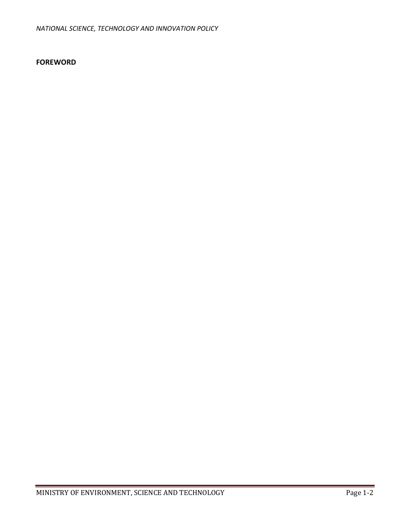#### **FOREWORD**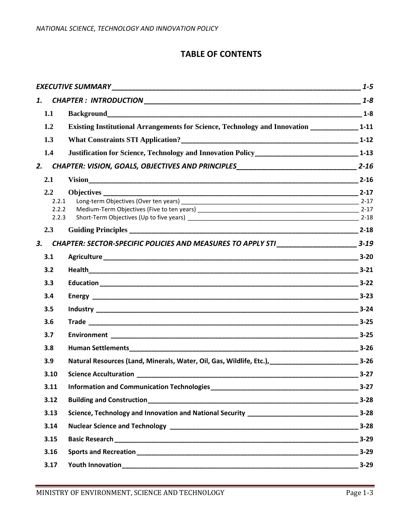# **TABLE OF CONTENTS**

|    |                |                                                                                                  | $1 - 5$  |
|----|----------------|--------------------------------------------------------------------------------------------------|----------|
|    | 1.             |                                                                                                  | $1 - 8$  |
|    | 1.1            |                                                                                                  | $1 - 8$  |
|    | 1.2            | Existing Institutional Arrangements for Science, Technology and Innovation _______________ 1-11  |          |
|    | 1.3            |                                                                                                  |          |
|    | 1.4            | Justification for Science, Technology and Innovation Policy_________________________________1-13 |          |
| 2. |                |                                                                                                  |          |
|    | 2.1            |                                                                                                  |          |
|    | 2.2            |                                                                                                  |          |
|    | 2.2.1          |                                                                                                  |          |
|    | 2.2.2<br>2.2.3 |                                                                                                  |          |
|    | 2.3            |                                                                                                  |          |
| 3. |                | CHAPTER: SECTOR-SPECIFIC POLICIES AND MEASURES TO APPLY STI __________________________ 3-19      |          |
|    | 3.1            |                                                                                                  |          |
|    | 3.2            |                                                                                                  |          |
|    | 3.3            |                                                                                                  |          |
|    | 3.4            |                                                                                                  |          |
|    | 3.5            |                                                                                                  |          |
|    | 3.6            |                                                                                                  |          |
|    | 3.7            |                                                                                                  |          |
|    | 3.8            |                                                                                                  |          |
|    | 3.9            | Natural Resources (Land, Minerals, Water, Oil, Gas, Wildlife, Etc.), [1001] [2010] 2-26          |          |
|    | 3.10           |                                                                                                  |          |
|    | 3.11           |                                                                                                  | $3 - 27$ |
|    | 3.12           |                                                                                                  | $3 - 28$ |
|    | 3.13           |                                                                                                  |          |
|    | 3.14           |                                                                                                  |          |
|    | 3.15           |                                                                                                  |          |
|    | 3.16           |                                                                                                  |          |
|    | 3.17           |                                                                                                  |          |
|    |                |                                                                                                  |          |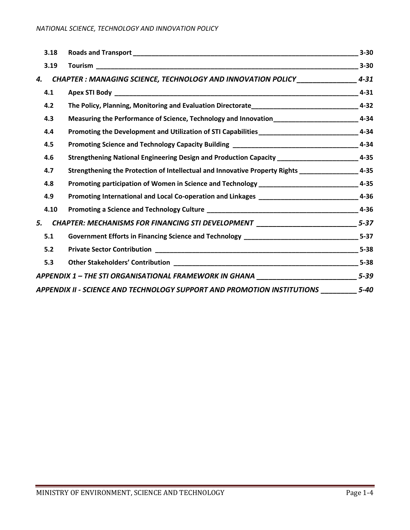| 3.18 |                                                                                                      | $3 - 30$ |
|------|------------------------------------------------------------------------------------------------------|----------|
| 3.19 |                                                                                                      | $3 - 30$ |
| 4.   | CHAPTER : MANAGING SCIENCE, TECHNOLOGY AND INNOVATION POLICY____________________                     | $4 - 31$ |
| 4.1  |                                                                                                      | $4 - 31$ |
| 4.2  | The Policy, Planning, Monitoring and Evaluation Directorate___________________________________4-32   |          |
| 4.3  | Measuring the Performance of Science, Technology and Innovation____________________________4-34      |          |
| 4.4  | Promoting the Development and Utilization of STI Capabilities_________________________________4-34   |          |
| 4.5  |                                                                                                      |          |
| 4.6  | Strengthening National Engineering Design and Production Capacity __________________________4-35     |          |
| 4.7  | Strengthening the Protection of Intellectual and Innovative Property Rights ____________________4-35 |          |
| 4.8  | Promoting participation of Women in Science and Technology _______________________________4-35       |          |
| 4.9  | Promoting International and Local Co-operation and Linkages ________________________________4-36     |          |
| 4.10 |                                                                                                      |          |
| 5.   | CHAPTER: MECHANISMS FOR FINANCING STI DEVELOPMENT ___________________________5-37                    |          |
| 5.1  |                                                                                                      |          |
| 5.2  |                                                                                                      |          |
| 5.3  |                                                                                                      |          |
|      | APPENDIX 1 – THE STI ORGANISATIONAL FRAMEWORK IN GHANA _________________________5-39                 |          |
|      | APPENDIX II - SCIENCE AND TECHNOLOGY SUPPORT AND PROMOTION INSTITUTIONS ________                     | $5 - 40$ |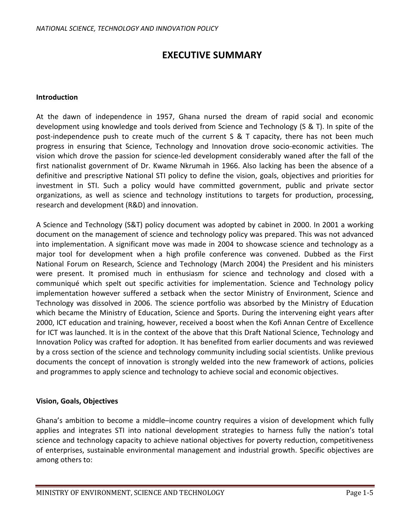# **EXECUTIVE SUMMARY**

#### **Introduction**

At the dawn of independence in 1957, Ghana nursed the dream of rapid social and economic development using knowledge and tools derived from Science and Technology (S & T). In spite of the post-independence push to create much of the current S & T capacity, there has not been much progress in ensuring that Science, Technology and Innovation drove socio-economic activities. The vision which drove the passion for science-led development considerably waned after the fall of the first nationalist government of Dr. Kwame Nkrumah in 1966. Also lacking has been the absence of a definitive and prescriptive National STI policy to define the vision, goals, objectives and priorities for investment in STI. Such a policy would have committed government, public and private sector organizations, as well as science and technology institutions to targets for production, processing, research and development (R&D) and innovation.

A Science and Technology (S&T) policy document was adopted by cabinet in 2000. In 2001 a working document on the management of science and technology policy was prepared. This was not advanced into implementation. A significant move was made in 2004 to showcase science and technology as a major tool for development when a high profile conference was convened. Dubbed as the First National Forum on Research, Science and Technology (March 2004) the President and his ministers were present. It promised much in enthusiasm for science and technology and closed with a communiqué which spelt out specific activities for implementation. Science and Technology policy implementation however suffered a setback when the sector Ministry of Environment, Science and Technology was dissolved in 2006. The science portfolio was absorbed by the Ministry of Education which became the Ministry of Education, Science and Sports. During the intervening eight years after 2000, ICT education and training, however, received a boost when the Kofi Annan Centre of Excellence for ICT was launched. It is in the context of the above that this Draft National Science, Technology and Innovation Policy was crafted for adoption. It has benefited from earlier documents and was reviewed by a cross section of the science and technology community including social scientists. Unlike previous documents the concept of innovation is strongly welded into the new framework of actions, policies and programmes to apply science and technology to achieve social and economic objectives.

#### **Vision, Goals, Objectives**

Ghana's ambition to become a middle–income country requires a vision of development which fully applies and integrates STI into national development strategies to harness fully the nation's total science and technology capacity to achieve national objectives for poverty reduction, competitiveness of enterprises, sustainable environmental management and industrial growth. Specific objectives are among others to: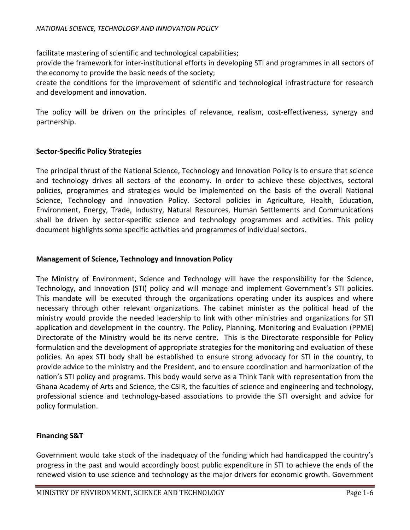facilitate mastering of scientific and technological capabilities;

provide the framework for inter-institutional efforts in developing STI and programmes in all sectors of the economy to provide the basic needs of the society;

create the conditions for the improvement of scientific and technological infrastructure for research and development and innovation.

The policy will be driven on the principles of relevance, realism, cost-effectiveness, synergy and partnership.

#### **Sector-Specific Policy Strategies**

The principal thrust of the National Science, Technology and Innovation Policy is to ensure that science and technology drives all sectors of the economy. In order to achieve these objectives, sectoral policies, programmes and strategies would be implemented on the basis of the overall National Science, Technology and Innovation Policy. Sectoral policies in Agriculture, Health, Education, Environment, Energy, Trade, Industry, Natural Resources, Human Settlements and Communications shall be driven by sector-specific science and technology programmes and activities. This policy document highlights some specific activities and programmes of individual sectors.

#### **Management of Science, Technology and Innovation Policy**

The Ministry of Environment, Science and Technology will have the responsibility for the Science, Technology, and Innovation (STI) policy and will manage and implement Government's STI policies. This mandate will be executed through the organizations operating under its auspices and where necessary through other relevant organizations. The cabinet minister as the political head of the ministry would provide the needed leadership to link with other ministries and organizations for STI application and development in the country. The Policy, Planning, Monitoring and Evaluation (PPME) Directorate of the Ministry would be its nerve centre. This is the Directorate responsible for Policy formulation and the development of appropriate strategies for the monitoring and evaluation of these policies. An apex STI body shall be established to ensure strong advocacy for STI in the country, to provide advice to the ministry and the President, and to ensure coordination and harmonization of the nation's STI policy and programs. This body would serve as a Think Tank with representation from the Ghana Academy of Arts and Science, the CSIR, the faculties of science and engineering and technology, professional science and technology-based associations to provide the STI oversight and advice for policy formulation.

#### **Financing S&T**

Government would take stock of the inadequacy of the funding which had handicapped the country's progress in the past and would accordingly boost public expenditure in STI to achieve the ends of the renewed vision to use science and technology as the major drivers for economic growth. Government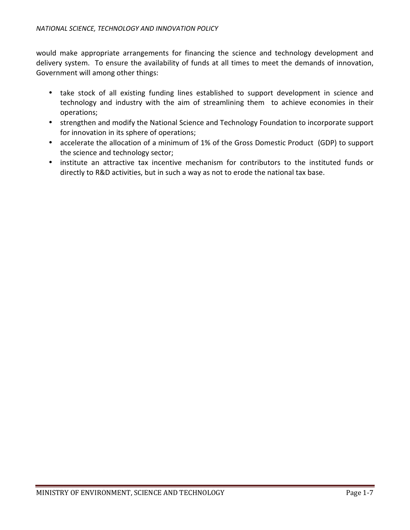would make appropriate arrangements for financing the science and technology development and delivery system. To ensure the availability of funds at all times to meet the demands of innovation, Government will among other things:

- take stock of all existing funding lines established to support development in science and technology and industry with the aim of streamlining them to achieve economies in their operations;
- strengthen and modify the National Science and Technology Foundation to incorporate support for innovation in its sphere of operations;
- accelerate the allocation of a minimum of 1% of the Gross Domestic Product (GDP) to support the science and technology sector;
- institute an attractive tax incentive mechanism for contributors to the instituted funds or directly to R&D activities, but in such a way as not to erode the national tax base.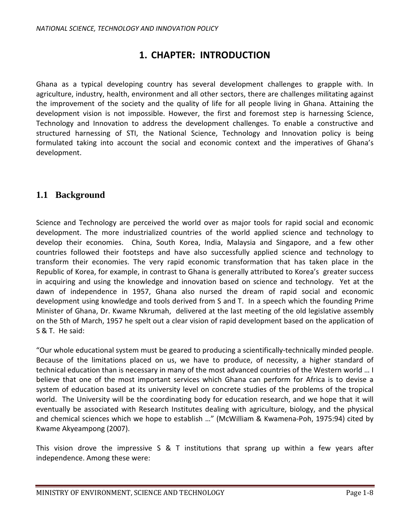# **1. CHAPTER: INTRODUCTION**

Ghana as a typical developing country has several development challenges to grapple with. In agriculture, industry, health, environment and all other sectors, there are challenges militating against the improvement of the society and the quality of life for all people living in Ghana. Attaining the development vision is not impossible. However, the first and foremost step is harnessing Science, Technology and Innovation to address the development challenges. To enable a constructive and structured harnessing of STI, the National Science, Technology and Innovation policy is being formulated taking into account the social and economic context and the imperatives of Ghana's development.

# **1.1 Background**

Science and Technology are perceived the world over as major tools for rapid social and economic development. The more industrialized countries of the world applied science and technology to develop their economies. China, South Korea, India, Malaysia and Singapore, and a few other countries followed their footsteps and have also successfully applied science and technology to transform their economies. The very rapid economic transformation that has taken place in the Republic of Korea, for example, in contrast to Ghana is generally attributed to Korea's greater success in acquiring and using the knowledge and innovation based on science and technology. Yet at the dawn of independence in 1957, Ghana also nursed the dream of rapid social and economic development using knowledge and tools derived from S and T. In a speech which the founding Prime Minister of Ghana, Dr. Kwame Nkrumah, delivered at the last meeting of the old legislative assembly on the 5th of March, 1957 he spelt out a clear vision of rapid development based on the application of S & T. He said:

"Our whole educational system must be geared to producing a scientifically-technically minded people. Because of the limitations placed on us, we have to produce, of necessity, a higher standard of technical education than is necessary in many of the most advanced countries of the Western world … I believe that one of the most important services which Ghana can perform for Africa is to devise a system of education based at its university level on concrete studies of the problems of the tropical world. The University will be the coordinating body for education research, and we hope that it will eventually be associated with Research Institutes dealing with agriculture, biology, and the physical and chemical sciences which we hope to establish …" (McWilliam & Kwamena-Poh, 1975:94) cited by Kwame Akyeampong (2007).

This vision drove the impressive S & T institutions that sprang up within a few years after independence. Among these were: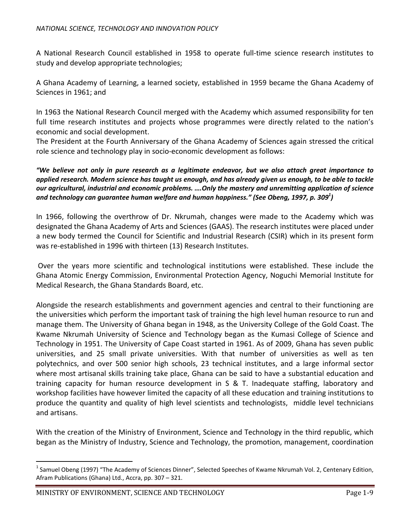A National Research Council established in 1958 to operate full-time science research institutes to study and develop appropriate technologies;

A Ghana Academy of Learning, a learned society, established in 1959 became the Ghana Academy of Sciences in 1961; and

In 1963 the National Research Council merged with the Academy which assumed responsibility for ten full time research institutes and projects whose programmes were directly related to the nation's economic and social development.

The President at the Fourth Anniversary of the Ghana Academy of Sciences again stressed the critical role science and technology play in socio-economic development as follows:

*"We believe not only in pure research as a legitimate endeavor, but we also attach great importance to applied research. Modern science has taught us enough, and has already given us enough, to be able to tackle our agricultural, industrial and economic problems. ….Only the mastery and unremitting application of science and technology can guarantee human welfare and human happiness." (See Obeng, 1997, p. 309<sup>1</sup> )* 

In 1966, following the overthrow of Dr. Nkrumah, changes were made to the Academy which was designated the Ghana Academy of Arts and Sciences (GAAS). The research institutes were placed under a new body termed the Council for Scientific and Industrial Research (CSIR) which in its present form was re-established in 1996 with thirteen (13) Research Institutes.

 Over the years more scientific and technological institutions were established. These include the Ghana Atomic Energy Commission, Environmental Protection Agency, Noguchi Memorial Institute for Medical Research, the Ghana Standards Board, etc.

Alongside the research establishments and government agencies and central to their functioning are the universities which perform the important task of training the high level human resource to run and manage them. The University of Ghana began in 1948, as the University College of the Gold Coast. The Kwame Nkrumah University of Science and Technology began as the Kumasi College of Science and Technology in 1951. The University of Cape Coast started in 1961. As of 2009, Ghana has seven public universities, and 25 small private universities. With that number of universities as well as ten polytechnics, and over 500 senior high schools, 23 technical institutes, and a large informal sector where most artisanal skills training take place, Ghana can be said to have a substantial education and training capacity for human resource development in S & T. Inadequate staffing, laboratory and workshop facilities have however limited the capacity of all these education and training institutions to produce the quantity and quality of high level scientists and technologists, middle level technicians and artisans.

With the creation of the Ministry of Environment, Science and Technology in the third republic, which began as the Ministry of Industry, Science and Technology, the promotion, management, coordination

l

<sup>&</sup>lt;sup>1</sup> Samuel Obeng (1997) "The Academy of Sciences Dinner", Selected Speeches of Kwame Nkrumah Vol. 2, Centenary Edition, Afram Publications (Ghana) Ltd., Accra, pp. 307 – 321.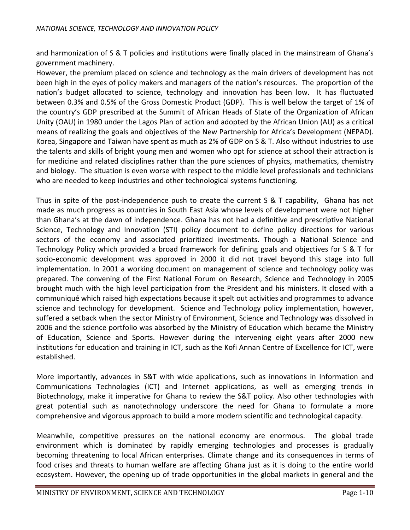and harmonization of S & T policies and institutions were finally placed in the mainstream of Ghana's government machinery.

However, the premium placed on science and technology as the main drivers of development has not been high in the eyes of policy makers and managers of the nation's resources. The proportion of the nation's budget allocated to science, technology and innovation has been low. It has fluctuated between 0.3% and 0.5% of the Gross Domestic Product (GDP). This is well below the target of 1% of the country's GDP prescribed at the Summit of African Heads of State of the Organization of African Unity (OAU) in 1980 under the Lagos Plan of action and adopted by the African Union (AU) as a critical means of realizing the goals and objectives of the New Partnership for Africa's Development (NEPAD). Korea, Singapore and Taiwan have spent as much as 2% of GDP on S & T. Also without industries to use the talents and skills of bright young men and women who opt for science at school their attraction is for medicine and related disciplines rather than the pure sciences of physics, mathematics, chemistry and biology. The situation is even worse with respect to the middle level professionals and technicians who are needed to keep industries and other technological systems functioning.

Thus in spite of the post-independence push to create the current S & T capability, Ghana has not made as much progress as countries in South East Asia whose levels of development were not higher than Ghana's at the dawn of independence. Ghana has not had a definitive and prescriptive National Science, Technology and Innovation (STI) policy document to define policy directions for various sectors of the economy and associated prioritized investments. Though a National Science and Technology Policy which provided a broad framework for defining goals and objectives for S & T for socio-economic development was approved in 2000 it did not travel beyond this stage into full implementation. In 2001 a working document on management of science and technology policy was prepared. The convening of the First National Forum on Research, Science and Technology in 2005 brought much with the high level participation from the President and his ministers. It closed with a communiqué which raised high expectations because it spelt out activities and programmes to advance science and technology for development. Science and Technology policy implementation, however, suffered a setback when the sector Ministry of Environment, Science and Technology was dissolved in 2006 and the science portfolio was absorbed by the Ministry of Education which became the Ministry of Education, Science and Sports. However during the intervening eight years after 2000 new institutions for education and training in ICT, such as the Kofi Annan Centre of Excellence for ICT, were established.

More importantly, advances in S&T with wide applications, such as innovations in Information and Communications Technologies (ICT) and Internet applications, as well as emerging trends in Biotechnology, make it imperative for Ghana to review the S&T policy. Also other technologies with great potential such as nanotechnology underscore the need for Ghana to formulate a more comprehensive and vigorous approach to build a more modern scientific and technological capacity.

Meanwhile, competitive pressures on the national economy are enormous. The global trade environment which is dominated by rapidly emerging technologies and processes is gradually becoming threatening to local African enterprises. Climate change and its consequences in terms of food crises and threats to human welfare are affecting Ghana just as it is doing to the entire world ecosystem. However, the opening up of trade opportunities in the global markets in general and the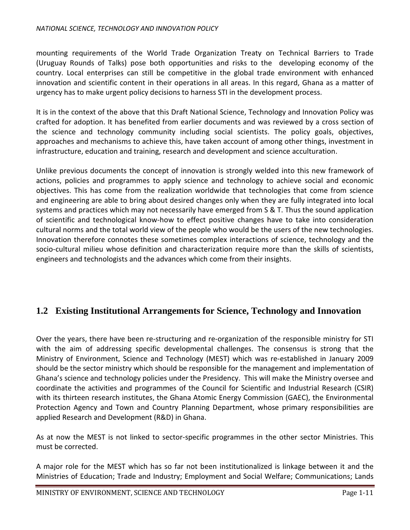mounting requirements of the World Trade Organization Treaty on Technical Barriers to Trade (Uruguay Rounds of Talks) pose both opportunities and risks to the developing economy of the country. Local enterprises can still be competitive in the global trade environment with enhanced innovation and scientific content in their operations in all areas. In this regard, Ghana as a matter of urgency has to make urgent policy decisions to harness STI in the development process.

It is in the context of the above that this Draft National Science, Technology and Innovation Policy was crafted for adoption. It has benefited from earlier documents and was reviewed by a cross section of the science and technology community including social scientists. The policy goals, objectives, approaches and mechanisms to achieve this, have taken account of among other things, investment in infrastructure, education and training, research and development and science acculturation.

Unlike previous documents the concept of innovation is strongly welded into this new framework of actions, policies and programmes to apply science and technology to achieve social and economic objectives. This has come from the realization worldwide that technologies that come from science and engineering are able to bring about desired changes only when they are fully integrated into local systems and practices which may not necessarily have emerged from S & T. Thus the sound application of scientific and technological know-how to effect positive changes have to take into consideration cultural norms and the total world view of the people who would be the users of the new technologies. Innovation therefore connotes these sometimes complex interactions of science, technology and the socio-cultural milieu whose definition and characterization require more than the skills of scientists, engineers and technologists and the advances which come from their insights.

# **1.2 Existing Institutional Arrangements for Science, Technology and Innovation**

Over the years, there have been re-structuring and re-organization of the responsible ministry for STI with the aim of addressing specific developmental challenges. The consensus is strong that the Ministry of Environment, Science and Technology (MEST) which was re-established in January 2009 should be the sector ministry which should be responsible for the management and implementation of Ghana's science and technology policies under the Presidency. This will make the Ministry oversee and coordinate the activities and programmes of the Council for Scientific and Industrial Research (CSIR) with its thirteen research institutes, the Ghana Atomic Energy Commission (GAEC), the Environmental Protection Agency and Town and Country Planning Department, whose primary responsibilities are applied Research and Development (R&D) in Ghana.

As at now the MEST is not linked to sector-specific programmes in the other sector Ministries. This must be corrected.

A major role for the MEST which has so far not been institutionalized is linkage between it and the Ministries of Education; Trade and Industry; Employment and Social Welfare; Communications; Lands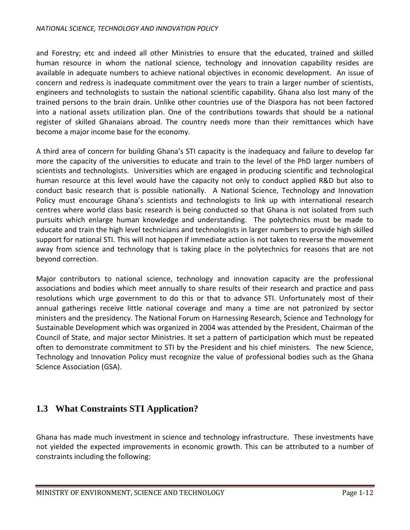#### *NATIONAL SCIENCE, TECHNOLOGY AND INNOVATION POLICY*

and Forestry; etc and indeed all other Ministries to ensure that the educated, trained and skilled human resource in whom the national science, technology and innovation capability resides are available in adequate numbers to achieve national objectives in economic development. An issue of concern and redress is inadequate commitment over the years to train a larger number of scientists, engineers and technologists to sustain the national scientific capability. Ghana also lost many of the trained persons to the brain drain. Unlike other countries use of the Diaspora has not been factored into a national assets utilization plan. One of the contributions towards that should be a national register of skilled Ghanaians abroad. The country needs more than their remittances which have become a major income base for the economy.

A third area of concern for building Ghana's STI capacity is the inadequacy and failure to develop far more the capacity of the universities to educate and train to the level of the PhD larger numbers of scientists and technologists. Universities which are engaged in producing scientific and technological human resource at this level would have the capacity not only to conduct applied R&D but also to conduct basic research that is possible nationally. A National Science, Technology and Innovation Policy must encourage Ghana's scientists and technologists to link up with international research centres where world class basic research is being conducted so that Ghana is not isolated from such pursuits which enlarge human knowledge and understanding. The polytechnics must be made to educate and train the high level technicians and technologists in larger numbers to provide high skilled support for national STI. This will not happen if immediate action is not taken to reverse the movement away from science and technology that is taking place in the polytechnics for reasons that are not beyond correction.

Major contributors to national science, technology and innovation capacity are the professional associations and bodies which meet annually to share results of their research and practice and pass resolutions which urge government to do this or that to advance STI. Unfortunately most of their annual gatherings receive little national coverage and many a time are not patronized by sector ministers and the presidency. The National Forum on Harnessing Research, Science and Technology for Sustainable Development which was organized in 2004 was attended by the President, Chairman of the Council of State, and major sector Ministries. It set a pattern of participation which must be repeated often to demonstrate commitment to STI by the President and his chief ministers. The new Science, Technology and Innovation Policy must recognize the value of professional bodies such as the Ghana Science Association (GSA).

# **1.3 What Constraints STI Application?**

Ghana has made much investment in science and technology infrastructure. These investments have not yielded the expected improvements in economic growth. This can be attributed to a number of constraints including the following: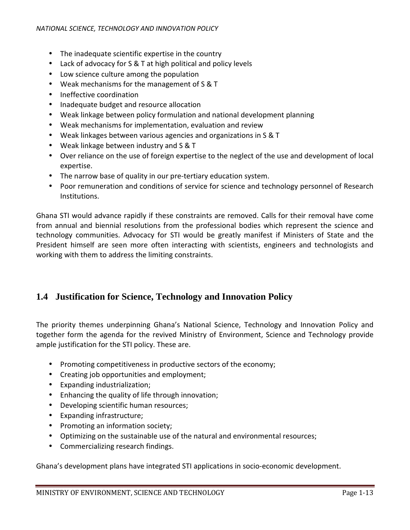- The inadequate scientific expertise in the country
- Lack of advocacy for S & T at high political and policy levels
- Low science culture among the population
- Weak mechanisms for the management of S & T
- Ineffective coordination
- Inadequate budget and resource allocation
- Weak linkage between policy formulation and national development planning
- Weak mechanisms for implementation, evaluation and review
- Weak linkages between various agencies and organizations in S & T
- Weak linkage between industry and S & T
- Over reliance on the use of foreign expertise to the neglect of the use and development of local expertise.
- The narrow base of quality in our pre-tertiary education system.
- Poor remuneration and conditions of service for science and technology personnel of Research Institutions.

Ghana STI would advance rapidly if these constraints are removed. Calls for their removal have come from annual and biennial resolutions from the professional bodies which represent the science and technology communities. Advocacy for STI would be greatly manifest if Ministers of State and the President himself are seen more often interacting with scientists, engineers and technologists and working with them to address the limiting constraints.

#### **1.4 Justification for Science, Technology and Innovation Policy**

The priority themes underpinning Ghana's National Science, Technology and Innovation Policy and together form the agenda for the revived Ministry of Environment, Science and Technology provide ample justification for the STI policy. These are.

- Promoting competitiveness in productive sectors of the economy;
- Creating job opportunities and employment;
- Expanding industrialization;
- Enhancing the quality of life through innovation;
- Developing scientific human resources;
- Expanding infrastructure;
- Promoting an information society;
- Optimizing on the sustainable use of the natural and environmental resources;
- Commercializing research findings.

Ghana's development plans have integrated STI applications in socio-economic development.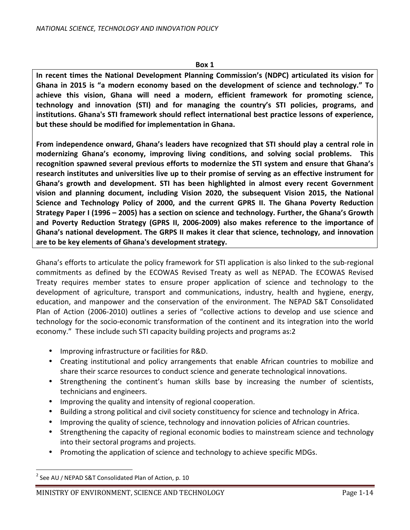**In recent times the National Development Planning Commission's (NDPC) articulated its vision for Ghana in 2015 is "a modern economy based on the development of science and technology." To achieve this vision, Ghana will need a modern, efficient framework for promoting science, technology and innovation (STI) and for managing the country's STI policies, programs, and institutions. Ghana's STI framework should reflect international best practice lessons of experience, but these should be modified for implementation in Ghana.** 

**From independence onward, Ghana's leaders have recognized that STI should play a central role in modernizing Ghana's economy, improving living conditions, and solving social problems. This recognition spawned several previous efforts to modernize the STI system and ensure that Ghana's research institutes and universities live up to their promise of serving as an effective instrument for Ghana's growth and development. STI has been highlighted in almost every recent Government vision and planning document, including Vision 2020, the subsequent Vision 2015, the National Science and Technology Policy of 2000, and the current GPRS II. The Ghana Poverty Reduction Strategy Paper I (1996 – 2005) has a section on science and technology. Further, the Ghana's Growth and Poverty Reduction Strategy (GPRS II, 2006-2009) also makes reference to the importance of Ghana's national development. The GRPS II makes it clear that science, technology, and innovation are to be key elements of Ghana's development strategy.** 

Ghana's efforts to articulate the policy framework for STI application is also linked to the sub-regional commitments as defined by the ECOWAS Revised Treaty as well as NEPAD. The ECOWAS Revised Treaty requires member states to ensure proper application of science and technology to the development of agriculture, transport and communications, industry, health and hygiene, energy, education, and manpower and the conservation of the environment. The NEPAD S&T Consolidated Plan of Action (2006-2010) outlines a series of "collective actions to develop and use science and technology for the socio-economic transformation of the continent and its integration into the world economy." These include such STI capacity building projects and programs as:2

- Improving infrastructure or facilities for R&D.
- Creating institutional and policy arrangements that enable African countries to mobilize and share their scarce resources to conduct science and generate technological innovations.
- Strengthening the continent's human skills base by increasing the number of scientists, technicians and engineers.
- Improving the quality and intensity of regional cooperation.
- Building a strong political and civil society constituency for science and technology in Africa.
- Improving the quality of science, technology and innovation policies of African countries.
- Strengthening the capacity of regional economic bodies to mainstream science and technology into their sectoral programs and projects.
- Promoting the application of science and technology to achieve specific MDGs.

 $\overline{a}$ 

 $2$  See AU / NEPAD S&T Consolidated Plan of Action, p. 10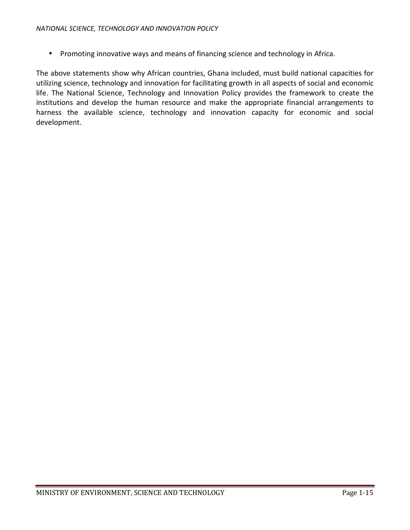• Promoting innovative ways and means of financing science and technology in Africa.

The above statements show why African countries, Ghana included, must build national capacities for utilizing science, technology and innovation for facilitating growth in all aspects of social and economic life. The National Science, Technology and Innovation Policy provides the framework to create the institutions and develop the human resource and make the appropriate financial arrangements to harness the available science, technology and innovation capacity for economic and social development.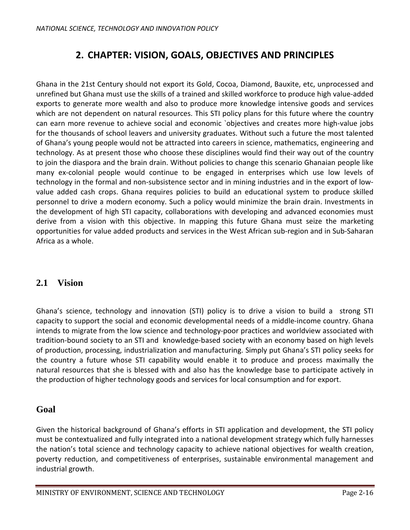# **2. CHAPTER: VISION, GOALS, OBJECTIVES AND PRINCIPLES**

Ghana in the 21st Century should not export its Gold, Cocoa, Diamond, Bauxite, etc, unprocessed and unrefined but Ghana must use the skills of a trained and skilled workforce to produce high value-added exports to generate more wealth and also to produce more knowledge intensive goods and services which are not dependent on natural resources. This STI policy plans for this future where the country can earn more revenue to achieve social and economic `objectives and creates more high-value jobs for the thousands of school leavers and university graduates. Without such a future the most talented of Ghana's young people would not be attracted into careers in science, mathematics, engineering and technology. As at present those who choose these disciplines would find their way out of the country to join the diaspora and the brain drain. Without policies to change this scenario Ghanaian people like many ex-colonial people would continue to be engaged in enterprises which use low levels of technology in the formal and non-subsistence sector and in mining industries and in the export of lowvalue added cash crops. Ghana requires policies to build an educational system to produce skilled personnel to drive a modern economy. Such a policy would minimize the brain drain. Investments in the development of high STI capacity, collaborations with developing and advanced economies must derive from a vision with this objective. In mapping this future Ghana must seize the marketing opportunities for value added products and services in the West African sub-region and in Sub-Saharan Africa as a whole.

## **2.1 Vision**

Ghana's science, technology and innovation (STI) policy is to drive a vision to build a strong STI capacity to support the social and economic developmental needs of a middle-income country. Ghana intends to migrate from the low science and technology-poor practices and worldview associated with tradition-bound society to an STI and knowledge-based society with an economy based on high levels of production, processing, industrialization and manufacturing. Simply put Ghana's STI policy seeks for the country a future whose STI capability would enable it to produce and process maximally the natural resources that she is blessed with and also has the knowledge base to participate actively in the production of higher technology goods and services for local consumption and for export.

## **Goal**

Given the historical background of Ghana's efforts in STI application and development, the STI policy must be contextualized and fully integrated into a national development strategy which fully harnesses the nation's total science and technology capacity to achieve national objectives for wealth creation, poverty reduction, and competitiveness of enterprises, sustainable environmental management and industrial growth.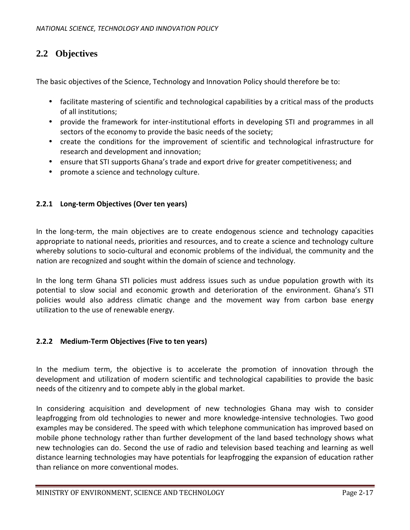# **2.2 Objectives**

The basic objectives of the Science, Technology and Innovation Policy should therefore be to:

- facilitate mastering of scientific and technological capabilities by a critical mass of the products of all institutions;
- provide the framework for inter-institutional efforts in developing STI and programmes in all sectors of the economy to provide the basic needs of the society;
- create the conditions for the improvement of scientific and technological infrastructure for research and development and innovation;
- ensure that STI supports Ghana's trade and export drive for greater competitiveness; and
- promote a science and technology culture.

#### **2.2.1 Long-term Objectives (Over ten years)**

In the long-term, the main objectives are to create endogenous science and technology capacities appropriate to national needs, priorities and resources, and to create a science and technology culture whereby solutions to socio-cultural and economic problems of the individual, the community and the nation are recognized and sought within the domain of science and technology.

In the long term Ghana STI policies must address issues such as undue population growth with its potential to slow social and economic growth and deterioration of the environment. Ghana's STI policies would also address climatic change and the movement way from carbon base energy utilization to the use of renewable energy.

#### **2.2.2 Medium-Term Objectives (Five to ten years)**

In the medium term, the objective is to accelerate the promotion of innovation through the development and utilization of modern scientific and technological capabilities to provide the basic needs of the citizenry and to compete ably in the global market.

In considering acquisition and development of new technologies Ghana may wish to consider leapfrogging from old technologies to newer and more knowledge-intensive technologies. Two good examples may be considered. The speed with which telephone communication has improved based on mobile phone technology rather than further development of the land based technology shows what new technologies can do. Second the use of radio and television based teaching and learning as well distance learning technologies may have potentials for leapfrogging the expansion of education rather than reliance on more conventional modes.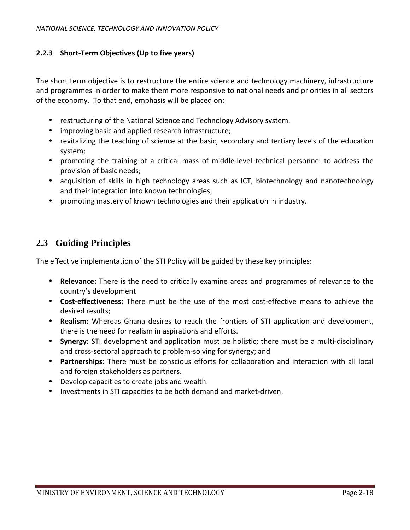#### **2.2.3 Short-Term Objectives (Up to five years)**

The short term objective is to restructure the entire science and technology machinery, infrastructure and programmes in order to make them more responsive to national needs and priorities in all sectors of the economy. To that end, emphasis will be placed on:

- restructuring of the National Science and Technology Advisory system.
- improving basic and applied research infrastructure;
- revitalizing the teaching of science at the basic, secondary and tertiary levels of the education system;
- promoting the training of a critical mass of middle-level technical personnel to address the provision of basic needs;
- acquisition of skills in high technology areas such as ICT, biotechnology and nanotechnology and their integration into known technologies;
- promoting mastery of known technologies and their application in industry.

### **2.3 Guiding Principles**

The effective implementation of the STI Policy will be guided by these key principles:

- **Relevance:** There is the need to critically examine areas and programmes of relevance to the country's development
- **Cost-effectiveness:** There must be the use of the most cost-effective means to achieve the desired results;
- **Realism:** Whereas Ghana desires to reach the frontiers of STI application and development, there is the need for realism in aspirations and efforts.
- **Synergy:** STI development and application must be holistic; there must be a multi-disciplinary and cross-sectoral approach to problem-solving for synergy; and
- **Partnerships:** There must be conscious efforts for collaboration and interaction with all local and foreign stakeholders as partners.
- Develop capacities to create jobs and wealth.
- Investments in STI capacities to be both demand and market-driven.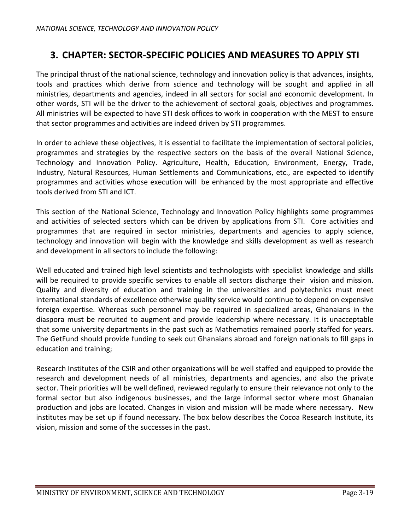# **3. CHAPTER: SECTOR-SPECIFIC POLICIES AND MEASURES TO APPLY STI**

The principal thrust of the national science, technology and innovation policy is that advances, insights, tools and practices which derive from science and technology will be sought and applied in all ministries, departments and agencies, indeed in all sectors for social and economic development. In other words, STI will be the driver to the achievement of sectoral goals, objectives and programmes. All ministries will be expected to have STI desk offices to work in cooperation with the MEST to ensure that sector programmes and activities are indeed driven by STI programmes.

In order to achieve these objectives, it is essential to facilitate the implementation of sectoral policies, programmes and strategies by the respective sectors on the basis of the overall National Science, Technology and Innovation Policy. Agriculture, Health, Education, Environment, Energy, Trade, Industry, Natural Resources, Human Settlements and Communications, etc., are expected to identify programmes and activities whose execution will be enhanced by the most appropriate and effective tools derived from STI and ICT.

This section of the National Science, Technology and Innovation Policy highlights some programmes and activities of selected sectors which can be driven by applications from STI. Core activities and programmes that are required in sector ministries, departments and agencies to apply science, technology and innovation will begin with the knowledge and skills development as well as research and development in all sectors to include the following:

Well educated and trained high level scientists and technologists with specialist knowledge and skills will be required to provide specific services to enable all sectors discharge their vision and mission. Quality and diversity of education and training in the universities and polytechnics must meet international standards of excellence otherwise quality service would continue to depend on expensive foreign expertise. Whereas such personnel may be required in specialized areas, Ghanaians in the diaspora must be recruited to augment and provide leadership where necessary. It is unacceptable that some university departments in the past such as Mathematics remained poorly staffed for years. The GetFund should provide funding to seek out Ghanaians abroad and foreign nationals to fill gaps in education and training;

Research Institutes of the CSIR and other organizations will be well staffed and equipped to provide the research and development needs of all ministries, departments and agencies, and also the private sector. Their priorities will be well defined, reviewed regularly to ensure their relevance not only to the formal sector but also indigenous businesses, and the large informal sector where most Ghanaian production and jobs are located. Changes in vision and mission will be made where necessary. New institutes may be set up if found necessary. The box below describes the Cocoa Research Institute, its vision, mission and some of the successes in the past.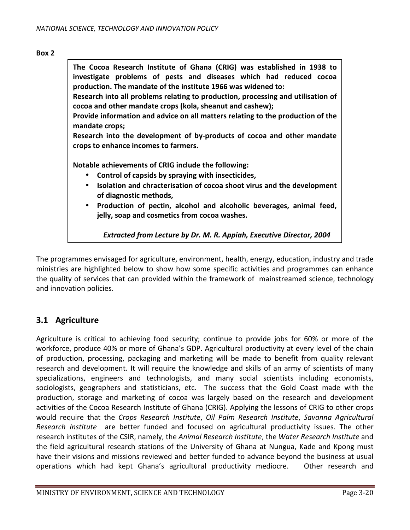#### **Box 2**

**The Cocoa Research Institute of Ghana (CRIG) was established in 1938 to investigate problems of pests and diseases which had reduced cocoa production. The mandate of the institute 1966 was widened to:** 

**Research into all problems relating to production, processing and utilisation of cocoa and other mandate crops (kola, sheanut and cashew);** 

**Provide information and advice on all matters relating to the production of the mandate crops;** 

**Research into the development of by-products of cocoa and other mandate crops to enhance incomes to farmers.** 

**Notable achievements of CRIG include the following:**

- **Control of capsids by spraying with insecticides,**
- **Isolation and chracterisation of cocoa shoot virus and the development of diagnostic methods,**
- **Production of pectin, alcohol and alcoholic beverages, animal feed, jelly, soap and cosmetics from cocoa washes.**

*Extracted from Lecture by Dr. M. R. Appiah, Executive Director, 2004* 

The programmes envisaged for agriculture, environment, health, energy, education, industry and trade ministries are highlighted below to show how some specific activities and programmes can enhance the quality of services that can provided within the framework of mainstreamed science, technology and innovation policies.

#### **3.1 Agriculture**

Agriculture is critical to achieving food security; continue to provide jobs for 60% or more of the workforce, produce 40% or more of Ghana's GDP. Agricultural productivity at every level of the chain of production, processing, packaging and marketing will be made to benefit from quality relevant research and development. It will require the knowledge and skills of an army of scientists of many specializations, engineers and technologists, and many social scientists including economists, sociologists, geographers and statisticians, etc. The success that the Gold Coast made with the production, storage and marketing of cocoa was largely based on the research and development activities of the Cocoa Research Institute of Ghana (CRIG). Applying the lessons of CRIG to other crops would require that the *Crops Research Institute*, *Oil Palm Research Institute*, *Savanna Agricultural Research Institute* are better funded and focused on agricultural productivity issues. The other research institutes of the CSIR, namely, the *Animal Research Institute*, the *Water Research Institute* and the field agricultural research stations of the University of Ghana at Nungua, Kade and Kpong must have their visions and missions reviewed and better funded to advance beyond the business at usual operations which had kept Ghana's agricultural productivity mediocre. Other research and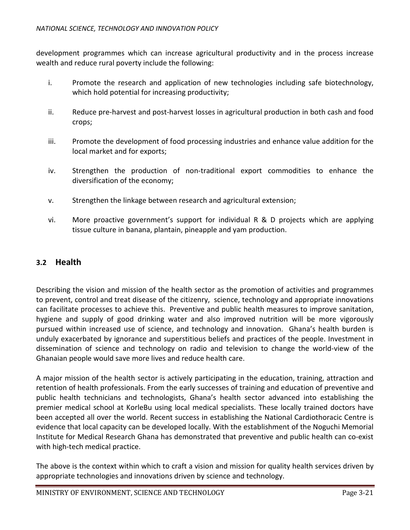development programmes which can increase agricultural productivity and in the process increase wealth and reduce rural poverty include the following:

- i. Promote the research and application of new technologies including safe biotechnology, which hold potential for increasing productivity;
- ii. Reduce pre-harvest and post-harvest losses in agricultural production in both cash and food crops;
- iii. Promote the development of food processing industries and enhance value addition for the local market and for exports;
- iv. Strengthen the production of non-traditional export commodities to enhance the diversification of the economy;
- v. Strengthen the linkage between research and agricultural extension;
- vi. More proactive government's support for individual R & D projects which are applying tissue culture in banana, plantain, pineapple and yam production.

### **3.2 Health**

Describing the vision and mission of the health sector as the promotion of activities and programmes to prevent, control and treat disease of the citizenry, science, technology and appropriate innovations can facilitate processes to achieve this. Preventive and public health measures to improve sanitation, hygiene and supply of good drinking water and also improved nutrition will be more vigorously pursued within increased use of science, and technology and innovation. Ghana's health burden is unduly exacerbated by ignorance and superstitious beliefs and practices of the people. Investment in dissemination of science and technology on radio and television to change the world-view of the Ghanaian people would save more lives and reduce health care.

A major mission of the health sector is actively participating in the education, training, attraction and retention of health professionals. From the early successes of training and education of preventive and public health technicians and technologists, Ghana's health sector advanced into establishing the premier medical school at KorleBu using local medical specialists. These locally trained doctors have been accepted all over the world. Recent success in establishing the National Cardiothoracic Centre is evidence that local capacity can be developed locally. With the establishment of the Noguchi Memorial Institute for Medical Research Ghana has demonstrated that preventive and public health can co-exist with high-tech medical practice.

The above is the context within which to craft a vision and mission for quality health services driven by appropriate technologies and innovations driven by science and technology.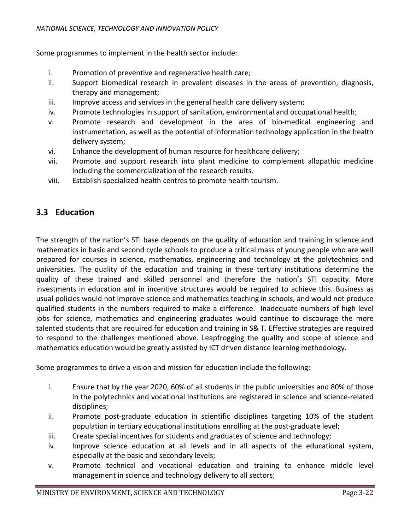Some programmes to implement in the health sector include:

- i. Promotion of preventive and regenerative health care;
- ii. Support biomedical research in prevalent diseases in the areas of prevention, diagnosis, therapy and management;
- iii. Improve access and services in the general health care delivery system;
- iv. Promote technologies in support of sanitation, environmental and occupational health;
- v. Promote research and development in the area of bio-medical engineering and instrumentation, as well as the potential of information technology application in the health delivery system;
- vi. Enhance the development of human resource for healthcare delivery;
- vii. Promote and support research into plant medicine to complement allopathic medicine including the commercialization of the research results.
- viii. Establish specialized health centres to promote health tourism.

## **3.3 Education**

The strength of the nation's STI base depends on the quality of education and training in science and mathematics in basic and second cycle schools to produce a critical mass of young people who are well prepared for courses in science, mathematics, engineering and technology at the polytechnics and universities. The quality of the education and training in these tertiary institutions determine the quality of these trained and skilled personnel and therefore the nation's STI capacity. More investments in education and in incentive structures would be required to achieve this. Business as usual policies would not improve science and mathematics teaching in schools, and would not produce qualified students in the numbers required to make a difference. Inadequate numbers of high level jobs for science, mathematics and engineering graduates would continue to discourage the more talented students that are required for education and training in S& T. Effective strategies are required to respond to the challenges mentioned above. Leapfrogging the quality and scope of science and mathematics education would be greatly assisted by ICT driven distance learning methodology.

Some programmes to drive a vision and mission for education include the following:

- i. Ensure that by the year 2020, 60% of all students in the public universities and 80% of those in the polytechnics and vocational institutions are registered in science and science-related disciplines;
- ii. Promote post-graduate education in scientific disciplines targeting 10% of the student population in tertiary educational institutions enrolling at the post-graduate level;
- iii. Create special incentives for students and graduates of science and technology;
- iv. Improve science education at all levels and in all aspects of the educational system, especially at the basic and secondary levels;
- v. Promote technical and vocational education and training to enhance middle level management in science and technology delivery to all sectors;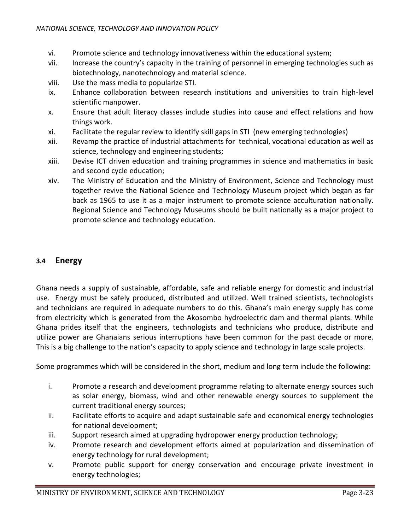- vi. Promote science and technology innovativeness within the educational system;
- vii. Increase the country's capacity in the training of personnel in emerging technologies such as biotechnology, nanotechnology and material science.
- viii. Use the mass media to popularize STI.
- ix. Enhance collaboration between research institutions and universities to train high-level scientific manpower.
- x. Ensure that adult literacy classes include studies into cause and effect relations and how things work.
- xi. Facilitate the regular review to identify skill gaps in STI (new emerging technologies)
- xii. Revamp the practice of industrial attachments for technical, vocational education as well as science, technology and engineering students;
- xiii. Devise ICT driven education and training programmes in science and mathematics in basic and second cycle education;
- xiv. The Ministry of Education and the Ministry of Environment, Science and Technology must together revive the National Science and Technology Museum project which began as far back as 1965 to use it as a major instrument to promote science acculturation nationally. Regional Science and Technology Museums should be built nationally as a major project to promote science and technology education.

#### **3.4 Energy**

Ghana needs a supply of sustainable, affordable, safe and reliable energy for domestic and industrial use. Energy must be safely produced, distributed and utilized. Well trained scientists, technologists and technicians are required in adequate numbers to do this. Ghana's main energy supply has come from electricity which is generated from the Akosombo hydroelectric dam and thermal plants. While Ghana prides itself that the engineers, technologists and technicians who produce, distribute and utilize power are Ghanaians serious interruptions have been common for the past decade or more. This is a big challenge to the nation's capacity to apply science and technology in large scale projects.

Some programmes which will be considered in the short, medium and long term include the following:

- i. Promote a research and development programme relating to alternate energy sources such as solar energy, biomass, wind and other renewable energy sources to supplement the current traditional energy sources;
- ii. Facilitate efforts to acquire and adapt sustainable safe and economical energy technologies for national development;
- iii. Support research aimed at upgrading hydropower energy production technology;
- iv. Promote research and development efforts aimed at popularization and dissemination of energy technology for rural development;
- v. Promote public support for energy conservation and encourage private investment in energy technologies;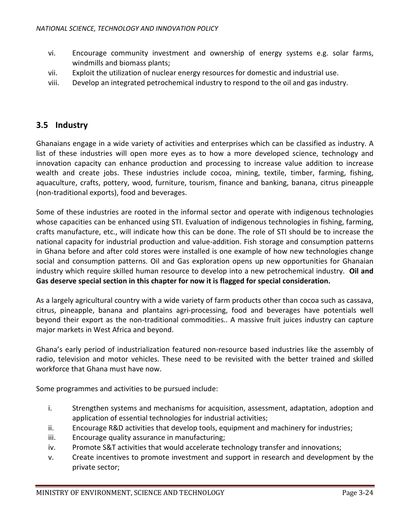- vi. Encourage community investment and ownership of energy systems e.g. solar farms, windmills and biomass plants;
- vii. Exploit the utilization of nuclear energy resources for domestic and industrial use.
- viii. Develop an integrated petrochemical industry to respond to the oil and gas industry.

#### **3.5 Industry**

Ghanaians engage in a wide variety of activities and enterprises which can be classified as industry. A list of these industries will open more eyes as to how a more developed science, technology and innovation capacity can enhance production and processing to increase value addition to increase wealth and create jobs. These industries include cocoa, mining, textile, timber, farming, fishing, aquaculture, crafts, pottery, wood, furniture, tourism, finance and banking, banana, citrus pineapple (non-traditional exports), food and beverages.

Some of these industries are rooted in the informal sector and operate with indigenous technologies whose capacities can be enhanced using STI. Evaluation of indigenous technologies in fishing, farming, crafts manufacture, etc., will indicate how this can be done. The role of STI should be to increase the national capacity for industrial production and value-addition. Fish storage and consumption patterns in Ghana before and after cold stores were installed is one example of how new technologies change social and consumption patterns. Oil and Gas exploration opens up new opportunities for Ghanaian industry which require skilled human resource to develop into a new petrochemical industry. **Oil and Gas deserve special section in this chapter for now it is flagged for special consideration.** 

As a largely agricultural country with a wide variety of farm products other than cocoa such as cassava, citrus, pineapple, banana and plantains agri-processing, food and beverages have potentials well beyond their export as the non-traditional commodities.. A massive fruit juices industry can capture major markets in West Africa and beyond.

Ghana's early period of industrialization featured non-resource based industries like the assembly of radio, television and motor vehicles. These need to be revisited with the better trained and skilled workforce that Ghana must have now.

Some programmes and activities to be pursued include:

- i. Strengthen systems and mechanisms for acquisition, assessment, adaptation, adoption and application of essential technologies for industrial activities;
- ii. Encourage R&D activities that develop tools, equipment and machinery for industries;
- iii. Encourage quality assurance in manufacturing;
- iv. Promote S&T activities that would accelerate technology transfer and innovations;
- v. Create incentives to promote investment and support in research and development by the private sector;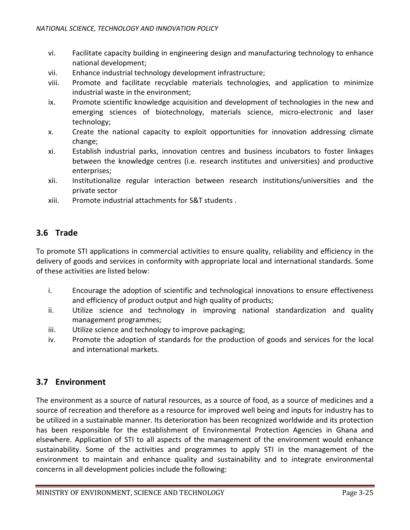- vi. Facilitate capacity building in engineering design and manufacturing technology to enhance national development;
- vii. Enhance industrial technology development infrastructure;
- viii. Promote and facilitate recyclable materials technologies, and application to minimize industrial waste in the environment;
- ix. Promote scientific knowledge acquisition and development of technologies in the new and emerging sciences of biotechnology, materials science, micro-electronic and laser technology;
- x. Create the national capacity to exploit opportunities for innovation addressing climate change;
- xi. Establish industrial parks, innovation centres and business incubators to foster linkages between the knowledge centres (i.e. research institutes and universities) and productive enterprises;
- xii. Institutionalize regular interaction between research institutions/universities and the private sector
- xiii. Promote industrial attachments for S&T students .

# **3.6 Trade**

To promote STI applications in commercial activities to ensure quality, reliability and efficiency in the delivery of goods and services in conformity with appropriate local and international standards. Some of these activities are listed below:

- i. Encourage the adoption of scientific and technological innovations to ensure effectiveness and efficiency of product output and high quality of products;
- ii. Utilize science and technology in improving national standardization and quality management programmes;
- iii. Utilize science and technology to improve packaging;
- iv. Promote the adoption of standards for the production of goods and services for the local and international markets.

## **3.7 Environment**

The environment as a source of natural resources, as a source of food, as a source of medicines and a source of recreation and therefore as a resource for improved well being and inputs for industry has to be utilized in a sustainable manner. Its deterioration has been recognized worldwide and its protection has been responsible for the establishment of Environmental Protection Agencies in Ghana and elsewhere. Application of STI to all aspects of the management of the environment would enhance sustainability. Some of the activities and programmes to apply STI in the management of the environment to maintain and enhance quality and sustainability and to integrate environmental concerns in all development policies include the following: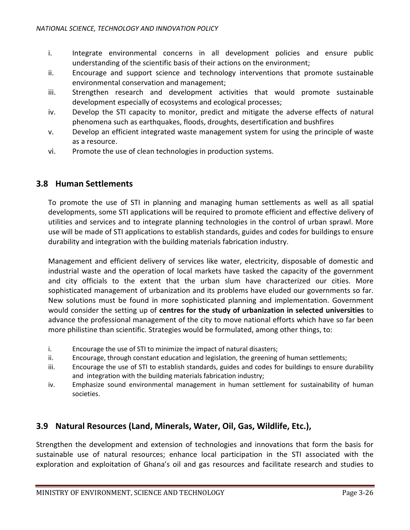- i. Integrate environmental concerns in all development policies and ensure public understanding of the scientific basis of their actions on the environment;
- ii. Encourage and support science and technology interventions that promote sustainable environmental conservation and management;
- iii. Strengthen research and development activities that would promote sustainable development especially of ecosystems and ecological processes;
- iv. Develop the STI capacity to monitor, predict and mitigate the adverse effects of natural phenomena such as earthquakes, floods, droughts, desertification and bushfires
- v. Develop an efficient integrated waste management system for using the principle of waste as a resource.
- vi. Promote the use of clean technologies in production systems.

#### **3.8 Human Settlements**

To promote the use of STI in planning and managing human settlements as well as all spatial developments, some STI applications will be required to promote efficient and effective delivery of utilities and services and to integrate planning technologies in the control of urban sprawl. More use will be made of STI applications to establish standards, guides and codes for buildings to ensure durability and integration with the building materials fabrication industry.

Management and efficient delivery of services like water, electricity, disposable of domestic and industrial waste and the operation of local markets have tasked the capacity of the government and city officials to the extent that the urban slum have characterized our cities. More sophisticated management of urbanization and its problems have eluded our governments so far. New solutions must be found in more sophisticated planning and implementation. Government would consider the setting up of **centres for the study of urbanization in selected universities** to advance the professional management of the city to move national efforts which have so far been more philistine than scientific. Strategies would be formulated, among other things, to:

- i. Encourage the use of STI to minimize the impact of natural disasters;
- ii. Encourage, through constant education and legislation, the greening of human settlements;
- iii. Encourage the use of STI to establish standards, guides and codes for buildings to ensure durability and integration with the building materials fabrication industry;
- iv. Emphasize sound environmental management in human settlement for sustainability of human societies.

#### **3.9 Natural Resources (Land, Minerals, Water, Oil, Gas, Wildlife, Etc.),**

Strengthen the development and extension of technologies and innovations that form the basis for sustainable use of natural resources; enhance local participation in the STI associated with the exploration and exploitation of Ghana's oil and gas resources and facilitate research and studies to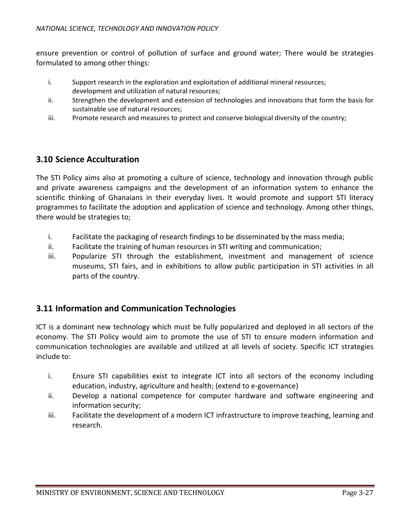ensure prevention or control of pollution of surface and ground water; There would be strategies formulated to among other things:

- i. Support research in the exploration and exploitation of additional mineral resources; development and utilization of natural resources;
- ii. Strengthen the development and extension of technologies and innovations that form the basis for sustainable use of natural resources;
- iii. Promote research and measures to protect and conserve biological diversity of the country;

### **3.10 Science Acculturation**

The STI Policy aims also at promoting a culture of science, technology and innovation through public and private awareness campaigns and the development of an information system to enhance the scientific thinking of Ghanaians in their everyday lives. It would promote and support STI literacy programmes to facilitate the adoption and application of science and technology. Among other things, there would be strategies to;

- i. Facilitate the packaging of research findings to be disseminated by the mass media;
- ii. Facilitate the training of human resources in STI writing and communication;
- iii. Popularize STI through the establishment, investment and management of science museums, STI fairs, and in exhibitions to allow public participation in STI activities in all parts of the country.

#### **3.11 Information and Communication Technologies**

ICT is a dominant new technology which must be fully popularized and deployed in all sectors of the economy. The STI Policy would aim to promote the use of STI to ensure modern information and communication technologies are available and utilized at all levels of society. Specific ICT strategies include to:

- i. Ensure STI capabilities exist to integrate ICT into all sectors of the economy including education, industry, agriculture and health; (extend to e-governance)
- ii. Develop a national competence for computer hardware and software engineering and information security;
- iii. Facilitate the development of a modern ICT infrastructure to improve teaching, learning and research.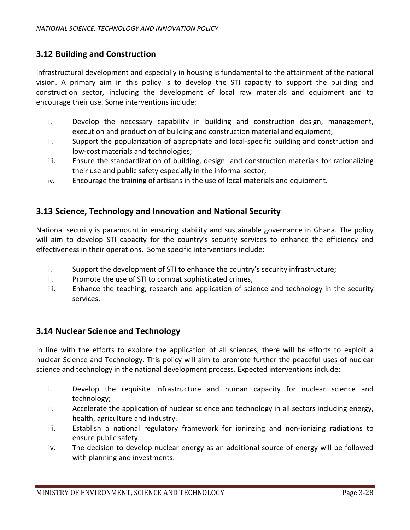#### **3.12 Building and Construction**

Infrastructural development and especially in housing is fundamental to the attainment of the national vision. A primary aim in this policy is to develop the STI capacity to support the building and construction sector, including the development of local raw materials and equipment and to encourage their use. Some interventions include:

- i. Develop the necessary capability in building and construction design, management, execution and production of building and construction material and equipment;
- ii. Support the popularization of appropriate and local-specific building and construction and low-cost materials and technologies;
- iii. Ensure the standardization of building, design and construction materials for rationalizing their use and public safety especially in the informal sector;
- iv. Encourage the training of artisans in the use of local materials and equipment.

#### **3.13 Science, Technology and Innovation and National Security**

National security is paramount in ensuring stability and sustainable governance in Ghana. The policy will aim to develop STI capacity for the country's security services to enhance the efficiency and effectiveness in their operations. Some specific interventions include:

- i. Support the development of STI to enhance the country's security infrastructure;
- ii. Promote the use of STI to combat sophisticated crimes,
- iii. Enhance the teaching, research and application of science and technology in the security services.

#### **3.14 Nuclear Science and Technology**

In line with the efforts to explore the application of all sciences, there will be efforts to exploit a nuclear Science and Technology. This policy will aim to promote further the peaceful uses of nuclear science and technology in the national development process. Expected interventions include:

- i. Develop the requisite infrastructure and human capacity for nuclear science and technology;
- ii. Accelerate the application of nuclear science and technology in all sectors including energy, health, agriculture and industry.
- iii. Establish a national regulatory framework for ioninzing and non-ionizing radiations to ensure public safety.
- iv. The decision to develop nuclear energy as an additional source of energy will be followed with planning and investments.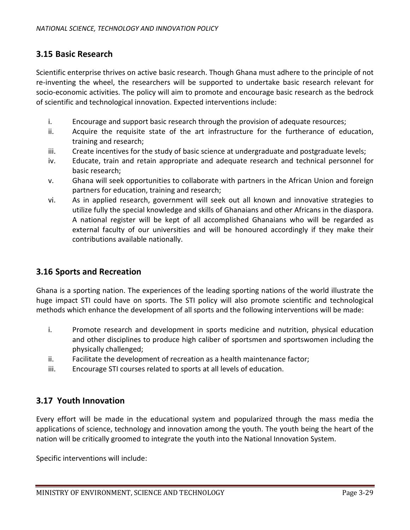#### **3.15 Basic Research**

Scientific enterprise thrives on active basic research. Though Ghana must adhere to the principle of not re-inventing the wheel, the researchers will be supported to undertake basic research relevant for socio-economic activities. The policy will aim to promote and encourage basic research as the bedrock of scientific and technological innovation. Expected interventions include:

- i. Encourage and support basic research through the provision of adequate resources;
- ii. Acquire the requisite state of the art infrastructure for the furtherance of education, training and research;
- iii. Create incentives for the study of basic science at undergraduate and postgraduate levels;
- iv. Educate, train and retain appropriate and adequate research and technical personnel for basic research;
- v. Ghana will seek opportunities to collaborate with partners in the African Union and foreign partners for education, training and research;
- vi. As in applied research, government will seek out all known and innovative strategies to utilize fully the special knowledge and skills of Ghanaians and other Africans in the diaspora. A national register will be kept of all accomplished Ghanaians who will be regarded as external faculty of our universities and will be honoured accordingly if they make their contributions available nationally.

#### **3.16 Sports and Recreation**

Ghana is a sporting nation. The experiences of the leading sporting nations of the world illustrate the huge impact STI could have on sports. The STI policy will also promote scientific and technological methods which enhance the development of all sports and the following interventions will be made:

- i. Promote research and development in sports medicine and nutrition, physical education and other disciplines to produce high caliber of sportsmen and sportswomen including the physically challenged;
- ii. Facilitate the development of recreation as a health maintenance factor;
- iii. Encourage STI courses related to sports at all levels of education.

#### **3.17 Youth Innovation**

Every effort will be made in the educational system and popularized through the mass media the applications of science, technology and innovation among the youth. The youth being the heart of the nation will be critically groomed to integrate the youth into the National Innovation System.

Specific interventions will include: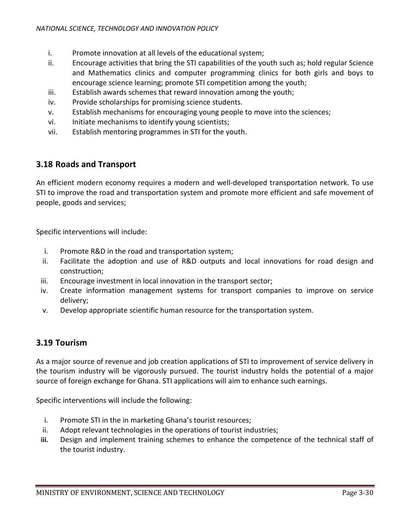- i. Promote innovation at all levels of the educational system;
- ii. Encourage activities that bring the STI capabilities of the youth such as; hold regular Science and Mathematics clinics and computer programming clinics for both girls and boys to encourage science learning; promote STI competition among the youth;
- iii. Establish awards schemes that reward innovation among the youth;
- iv. Provide scholarships for promising science students.
- v. Establish mechanisms for encouraging young people to move into the sciences;
- vi. Initiate mechanisms to identify young scientists;
- vii. Establish mentoring programmes in STI for the youth.

### **3.18 Roads and Transport**

An efficient modern economy requires a modern and well-developed transportation network. To use STI to improve the road and transportation system and promote more efficient and safe movement of people, goods and services;

Specific interventions will include:

- i. Promote R&D in the road and transportation system;
- ii. Facilitate the adoption and use of R&D outputs and local innovations for road design and construction;
- iii. Encourage investment in local innovation in the transport sector;
- iv. Create information management systems for transport companies to improve on service delivery;
- v. Develop appropriate scientific human resource for the transportation system.

#### **3.19 Tourism**

As a major source of revenue and job creation applications of STI to improvement of service delivery in the tourism industry will be vigorously pursued. The tourist industry holds the potential of a major source of foreign exchange for Ghana. STI applications will aim to enhance such earnings.

Specific interventions will include the following:

- i. Promote STI in the in marketing Ghana's tourist resources;
- ii. Adopt relevant technologies in the operations of tourist industries;
- **iii.** Design and implement training schemes to enhance the competence of the technical staff of the tourist industry.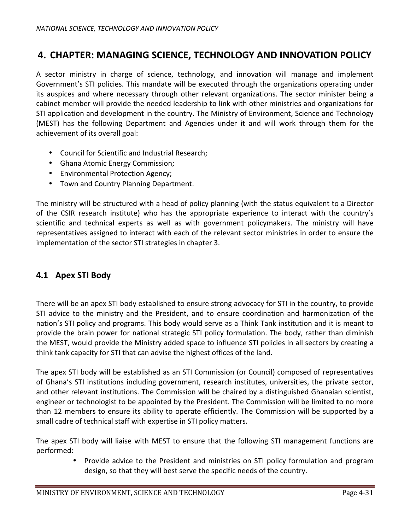# **4. CHAPTER: MANAGING SCIENCE, TECHNOLOGY AND INNOVATION POLICY**

A sector ministry in charge of science, technology, and innovation will manage and implement Government's STI policies. This mandate will be executed through the organizations operating under its auspices and where necessary through other relevant organizations. The sector minister being a cabinet member will provide the needed leadership to link with other ministries and organizations for STI application and development in the country. The Ministry of Environment, Science and Technology (MEST) has the following Department and Agencies under it and will work through them for the achievement of its overall goal:

- Council for Scientific and Industrial Research;
- Ghana Atomic Energy Commission;
- Environmental Protection Agency;
- Town and Country Planning Department.

The ministry will be structured with a head of policy planning (with the status equivalent to a Director of the CSIR research institute) who has the appropriate experience to interact with the country's scientific and technical experts as well as with government policymakers. The ministry will have representatives assigned to interact with each of the relevant sector ministries in order to ensure the implementation of the sector STI strategies in chapter 3.

## **4.1 Apex STI Body**

There will be an apex STI body established to ensure strong advocacy for STI in the country, to provide STI advice to the ministry and the President, and to ensure coordination and harmonization of the nation's STI policy and programs. This body would serve as a Think Tank institution and it is meant to provide the brain power for national strategic STI policy formulation. The body, rather than diminish the MEST, would provide the Ministry added space to influence STI policies in all sectors by creating a think tank capacity for STI that can advise the highest offices of the land.

The apex STI body will be established as an STI Commission (or Council) composed of representatives of Ghana's STI institutions including government, research institutes, universities, the private sector, and other relevant institutions. The Commission will be chaired by a distinguished Ghanaian scientist, engineer or technologist to be appointed by the President. The Commission will be limited to no more than 12 members to ensure its ability to operate efficiently. The Commission will be supported by a small cadre of technical staff with expertise in STI policy matters.

The apex STI body will liaise with MEST to ensure that the following STI management functions are performed:

> • Provide advice to the President and ministries on STI policy formulation and program design, so that they will best serve the specific needs of the country.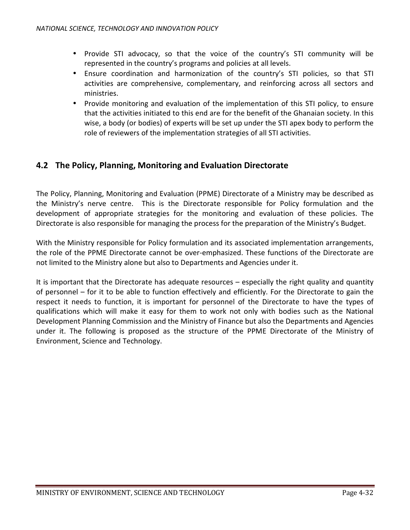- Provide STI advocacy, so that the voice of the country's STI community will be represented in the country's programs and policies at all levels.
- Ensure coordination and harmonization of the country's STI policies, so that STI activities are comprehensive, complementary, and reinforcing across all sectors and ministries.
- Provide monitoring and evaluation of the implementation of this STI policy, to ensure that the activities initiated to this end are for the benefit of the Ghanaian society. In this wise, a body (or bodies) of experts will be set up under the STI apex body to perform the role of reviewers of the implementation strategies of all STI activities.

### **4.2 The Policy, Planning, Monitoring and Evaluation Directorate**

The Policy, Planning, Monitoring and Evaluation (PPME) Directorate of a Ministry may be described as the Ministry's nerve centre. This is the Directorate responsible for Policy formulation and the development of appropriate strategies for the monitoring and evaluation of these policies. The Directorate is also responsible for managing the process for the preparation of the Ministry's Budget.

With the Ministry responsible for Policy formulation and its associated implementation arrangements, the role of the PPME Directorate cannot be over-emphasized. These functions of the Directorate are not limited to the Ministry alone but also to Departments and Agencies under it.

It is important that the Directorate has adequate resources – especially the right quality and quantity of personnel – for it to be able to function effectively and efficiently. For the Directorate to gain the respect it needs to function, it is important for personnel of the Directorate to have the types of qualifications which will make it easy for them to work not only with bodies such as the National Development Planning Commission and the Ministry of Finance but also the Departments and Agencies under it. The following is proposed as the structure of the PPME Directorate of the Ministry of Environment, Science and Technology.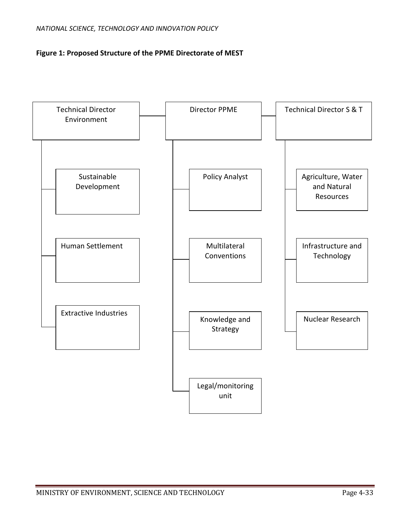#### **Figure 1: Proposed Structure of the PPME Directorate of MEST**

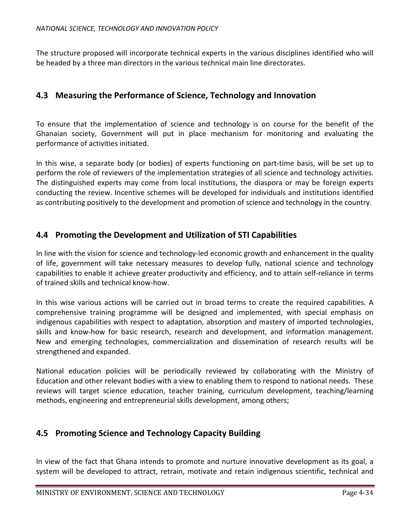The structure proposed will incorporate technical experts in the various disciplines identified who will be headed by a three man directors in the various technical main line directorates.

#### **4.3 Measuring the Performance of Science, Technology and Innovation**

To ensure that the implementation of science and technology is on course for the benefit of the Ghanaian society, Government will put in place mechanism for monitoring and evaluating the performance of activities initiated.

In this wise, a separate body (or bodies) of experts functioning on part-time basis, will be set up to perform the role of reviewers of the implementation strategies of all science and technology activities. The distinguished experts may come from local institutions, the diaspora or may be foreign experts conducting the review. Incentive schemes will be developed for individuals and institutions identified as contributing positively to the development and promotion of science and technology in the country.

### **4.4 Promoting the Development and Utilization of STI Capabilities**

In line with the vision for science and technology-led economic growth and enhancement in the quality of life, government will take necessary measures to develop fully, national science and technology capabilities to enable it achieve greater productivity and efficiency, and to attain self-reliance in terms of trained skills and technical know-how.

In this wise various actions will be carried out in broad terms to create the required capabilities. A comprehensive training programme will be designed and implemented, with special emphasis on indigenous capabilities with respect to adaptation, absorption and mastery of imported technologies, skills and know-how for basic research, research and development, and information management. New and emerging technologies, commercialization and dissemination of research results will be strengthened and expanded.

National education policies will be periodically reviewed by collaborating with the Ministry of Education and other relevant bodies with a view to enabling them to respond to national needs. These reviews will target science education, teacher training, curriculum development, teaching/learning methods, engineering and entrepreneurial skills development, among others;

## **4.5 Promoting Science and Technology Capacity Building**

In view of the fact that Ghana intends to promote and nurture innovative development as its goal, a system will be developed to attract, retrain, motivate and retain indigenous scientific, technical and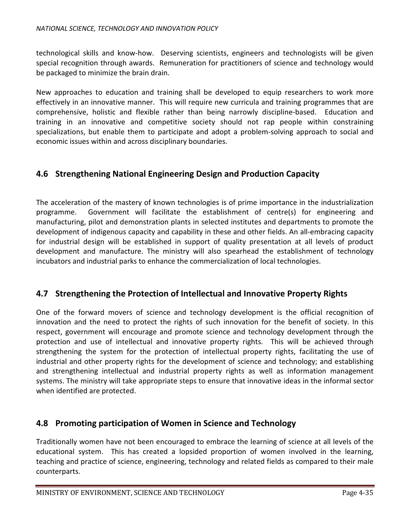technological skills and know-how. Deserving scientists, engineers and technologists will be given special recognition through awards. Remuneration for practitioners of science and technology would be packaged to minimize the brain drain.

New approaches to education and training shall be developed to equip researchers to work more effectively in an innovative manner. This will require new curricula and training programmes that are comprehensive, holistic and flexible rather than being narrowly discipline-based. Education and training in an innovative and competitive society should not rap people within constraining specializations, but enable them to participate and adopt a problem-solving approach to social and economic issues within and across disciplinary boundaries.

## **4.6 Strengthening National Engineering Design and Production Capacity**

The acceleration of the mastery of known technologies is of prime importance in the industrialization programme. Government will facilitate the establishment of centre(s) for engineering and manufacturing, pilot and demonstration plants in selected institutes and departments to promote the development of indigenous capacity and capability in these and other fields. An all-embracing capacity for industrial design will be established in support of quality presentation at all levels of product development and manufacture. The ministry will also spearhead the establishment of technology incubators and industrial parks to enhance the commercialization of local technologies.

## **4.7 Strengthening the Protection of Intellectual and Innovative Property Rights**

One of the forward movers of science and technology development is the official recognition of innovation and the need to protect the rights of such innovation for the benefit of society. In this respect, government will encourage and promote science and technology development through the protection and use of intellectual and innovative property rights. This will be achieved through strengthening the system for the protection of intellectual property rights, facilitating the use of industrial and other property rights for the development of science and technology; and establishing and strengthening intellectual and industrial property rights as well as information management systems. The ministry will take appropriate steps to ensure that innovative ideas in the informal sector when identified are protected.

#### **4.8 Promoting participation of Women in Science and Technology**

Traditionally women have not been encouraged to embrace the learning of science at all levels of the educational system. This has created a lopsided proportion of women involved in the learning, teaching and practice of science, engineering, technology and related fields as compared to their male counterparts.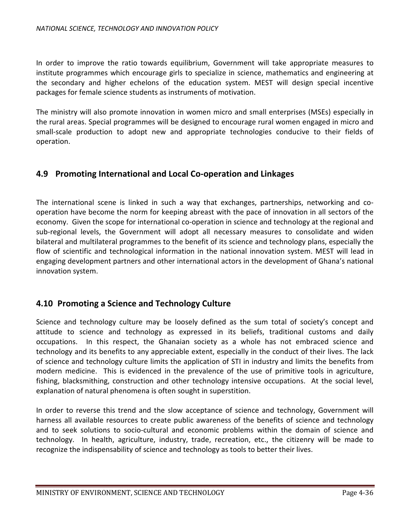In order to improve the ratio towards equilibrium, Government will take appropriate measures to institute programmes which encourage girls to specialize in science, mathematics and engineering at the secondary and higher echelons of the education system. MEST will design special incentive packages for female science students as instruments of motivation.

The ministry will also promote innovation in women micro and small enterprises (MSEs) especially in the rural areas. Special programmes will be designed to encourage rural women engaged in micro and small-scale production to adopt new and appropriate technologies conducive to their fields of operation.

### **4.9 Promoting International and Local Co-operation and Linkages**

The international scene is linked in such a way that exchanges, partnerships, networking and cooperation have become the norm for keeping abreast with the pace of innovation in all sectors of the economy. Given the scope for international co-operation in science and technology at the regional and sub-regional levels, the Government will adopt all necessary measures to consolidate and widen bilateral and multilateral programmes to the benefit of its science and technology plans, especially the flow of scientific and technological information in the national innovation system. MEST will lead in engaging development partners and other international actors in the development of Ghana's national innovation system.

## **4.10 Promoting a Science and Technology Culture**

Science and technology culture may be loosely defined as the sum total of society's concept and attitude to science and technology as expressed in its beliefs, traditional customs and daily occupations. In this respect, the Ghanaian society as a whole has not embraced science and technology and its benefits to any appreciable extent, especially in the conduct of their lives. The lack of science and technology culture limits the application of STI in industry and limits the benefits from modern medicine. This is evidenced in the prevalence of the use of primitive tools in agriculture, fishing, blacksmithing, construction and other technology intensive occupations. At the social level, explanation of natural phenomena is often sought in superstition.

In order to reverse this trend and the slow acceptance of science and technology, Government will harness all available resources to create public awareness of the benefits of science and technology and to seek solutions to socio-cultural and economic problems within the domain of science and technology. In health, agriculture, industry, trade, recreation, etc., the citizenry will be made to recognize the indispensability of science and technology as tools to better their lives.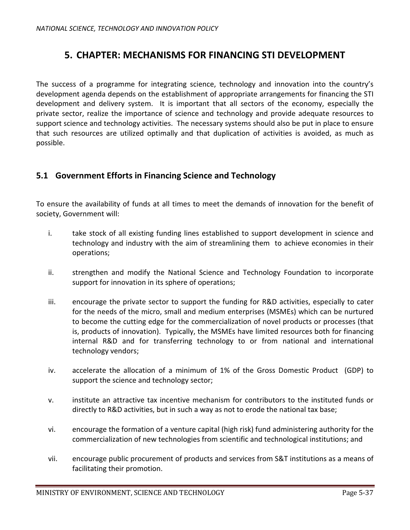# **5. CHAPTER: MECHANISMS FOR FINANCING STI DEVELOPMENT**

The success of a programme for integrating science, technology and innovation into the country's development agenda depends on the establishment of appropriate arrangements for financing the STI development and delivery system. It is important that all sectors of the economy, especially the private sector, realize the importance of science and technology and provide adequate resources to support science and technology activities. The necessary systems should also be put in place to ensure that such resources are utilized optimally and that duplication of activities is avoided, as much as possible.

### **5.1 Government Efforts in Financing Science and Technology**

To ensure the availability of funds at all times to meet the demands of innovation for the benefit of society, Government will:

- i. take stock of all existing funding lines established to support development in science and technology and industry with the aim of streamlining them to achieve economies in their operations;
- ii. strengthen and modify the National Science and Technology Foundation to incorporate support for innovation in its sphere of operations;
- iii. encourage the private sector to support the funding for R&D activities, especially to cater for the needs of the micro, small and medium enterprises (MSMEs) which can be nurtured to become the cutting edge for the commercialization of novel products or processes (that is, products of innovation). Typically, the MSMEs have limited resources both for financing internal R&D and for transferring technology to or from national and international technology vendors;
- iv. accelerate the allocation of a minimum of 1% of the Gross Domestic Product (GDP) to support the science and technology sector;
- v. institute an attractive tax incentive mechanism for contributors to the instituted funds or directly to R&D activities, but in such a way as not to erode the national tax base;
- vi. encourage the formation of a venture capital (high risk) fund administering authority for the commercialization of new technologies from scientific and technological institutions; and
- vii. encourage public procurement of products and services from S&T institutions as a means of facilitating their promotion.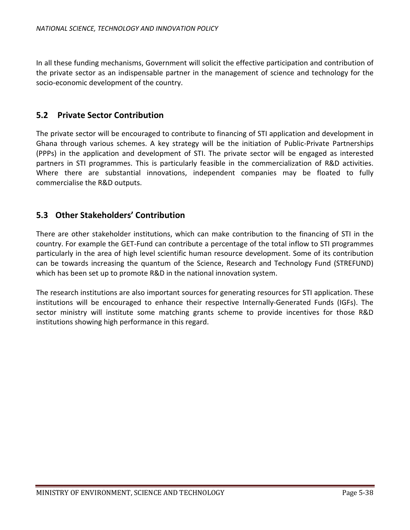In all these funding mechanisms, Government will solicit the effective participation and contribution of the private sector as an indispensable partner in the management of science and technology for the socio-economic development of the country.

#### **5.2 Private Sector Contribution**

The private sector will be encouraged to contribute to financing of STI application and development in Ghana through various schemes. A key strategy will be the initiation of Public-Private Partnerships (PPPs) in the application and development of STI. The private sector will be engaged as interested partners in STI programmes. This is particularly feasible in the commercialization of R&D activities. Where there are substantial innovations, independent companies may be floated to fully commercialise the R&D outputs.

### **5.3 Other Stakeholders' Contribution**

There are other stakeholder institutions, which can make contribution to the financing of STI in the country. For example the GET-Fund can contribute a percentage of the total inflow to STI programmes particularly in the area of high level scientific human resource development. Some of its contribution can be towards increasing the quantum of the Science, Research and Technology Fund (STREFUND) which has been set up to promote R&D in the national innovation system.

The research institutions are also important sources for generating resources for STI application. These institutions will be encouraged to enhance their respective Internally-Generated Funds (IGFs). The sector ministry will institute some matching grants scheme to provide incentives for those R&D institutions showing high performance in this regard.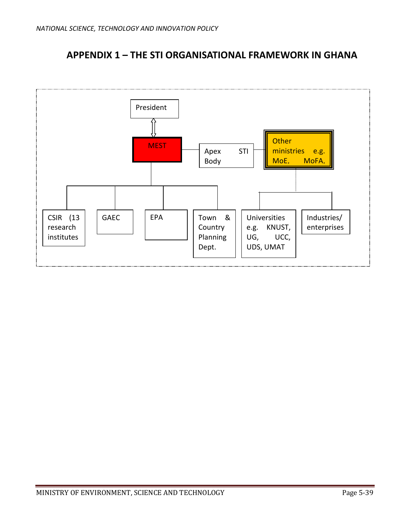# **APPENDIX 1 – THE STI ORGANISATIONAL FRAMEWORK IN GHANA**

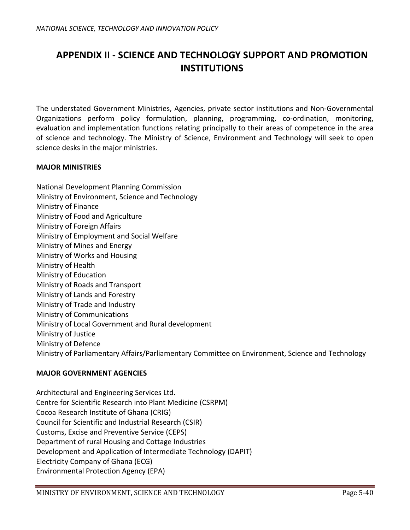# **APPENDIX II - SCIENCE AND TECHNOLOGY SUPPORT AND PROMOTION INSTITUTIONS**

The understated Government Ministries, Agencies, private sector institutions and Non-Governmental Organizations perform policy formulation, planning, programming, co-ordination, monitoring, evaluation and implementation functions relating principally to their areas of competence in the area of science and technology. The Ministry of Science, Environment and Technology will seek to open science desks in the major ministries.

#### **MAJOR MINISTRIES**

National Development Planning Commission Ministry of Environment, Science and Technology Ministry of Finance Ministry of Food and Agriculture Ministry of Foreign Affairs Ministry of Employment and Social Welfare Ministry of Mines and Energy Ministry of Works and Housing Ministry of Health Ministry of Education Ministry of Roads and Transport Ministry of Lands and Forestry Ministry of Trade and Industry Ministry of Communications Ministry of Local Government and Rural development Ministry of Justice Ministry of Defence Ministry of Parliamentary Affairs/Parliamentary Committee on Environment, Science and Technology

#### **MAJOR GOVERNMENT AGENCIES**

Architectural and Engineering Services Ltd. Centre for Scientific Research into Plant Medicine (CSRPM) Cocoa Research Institute of Ghana (CRIG) Council for Scientific and Industrial Research (CSIR) Customs, Excise and Preventive Service (CEPS) Department of rural Housing and Cottage Industries Development and Application of Intermediate Technology (DAPIT) Electricity Company of Ghana (ECG) Environmental Protection Agency (EPA)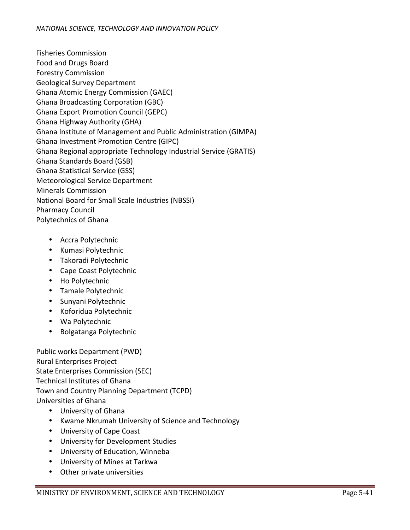Fisheries Commission Food and Drugs Board Forestry Commission Geological Survey Department Ghana Atomic Energy Commission (GAEC) Ghana Broadcasting Corporation (GBC) Ghana Export Promotion Council (GEPC) Ghana Highway Authority (GHA) Ghana Institute of Management and Public Administration (GIMPA) Ghana Investment Promotion Centre (GIPC) Ghana Regional appropriate Technology Industrial Service (GRATIS) Ghana Standards Board (GSB) Ghana Statistical Service (GSS) Meteorological Service Department Minerals Commission National Board for Small Scale Industries (NBSSI) Pharmacy Council Polytechnics of Ghana

- Accra Polytechnic
- Kumasi Polytechnic
- Takoradi Polytechnic
- Cape Coast Polytechnic
- Ho Polytechnic
- Tamale Polytechnic
- Sunyani Polytechnic
- Koforidua Polytechnic
- Wa Polytechnic
- Bolgatanga Polytechnic

Public works Department (PWD) Rural Enterprises Project State Enterprises Commission (SEC) Technical Institutes of Ghana Town and Country Planning Department (TCPD) Universities of Ghana

- University of Ghana
- Kwame Nkrumah University of Science and Technology
- University of Cape Coast
- University for Development Studies
- University of Education, Winneba
- University of Mines at Tarkwa
- Other private universities